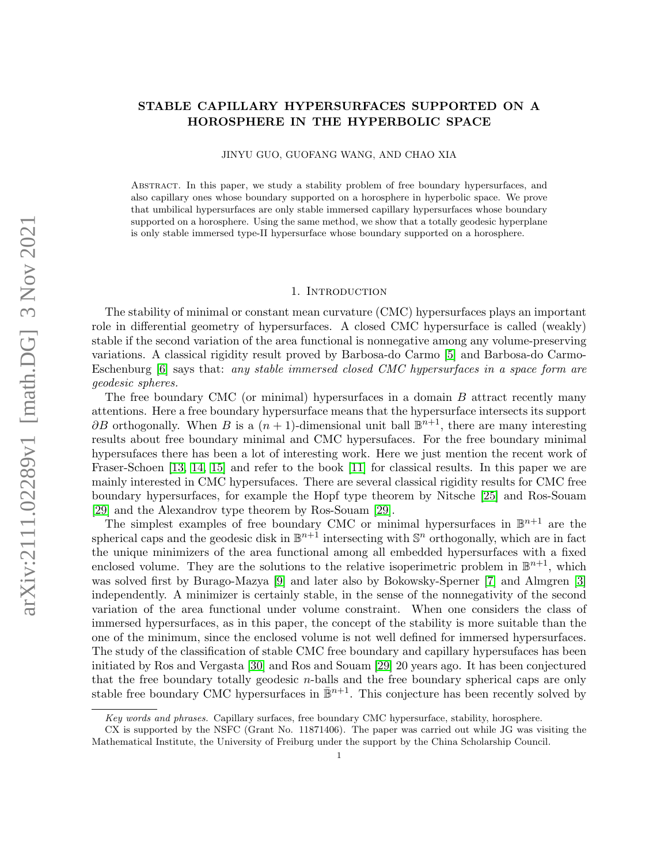# arXiv:2111.02289v1 [math.DG] 3 Nov 2021 arXiv:2111.02289v1 [math.DG] 3 Nov 2021

# STABLE CAPILLARY HYPERSURFACES SUPPORTED ON A HOROSPHERE IN THE HYPERBOLIC SPACE

JINYU GUO, GUOFANG WANG, AND CHAO XIA

Abstract. In this paper, we study a stability problem of free boundary hypersurfaces, and also capillary ones whose boundary supported on a horosphere in hyperbolic space. We prove that umbilical hypersurfaces are only stable immersed capillary hypersurfaces whose boundary supported on a horosphere. Using the same method, we show that a totally geodesic hyperplane is only stable immersed type-II hypersurface whose boundary supported on a horosphere.

### 1. Introduction

The stability of minimal or constant mean curvature (CMC) hypersurfaces plays an important role in differential geometry of hypersurfaces. A closed CMC hypersurface is called (weakly) stable if the second variation of the area functional is nonnegative among any volume-preserving variations. A classical rigidity result proved by Barbosa-do Carmo [\[5\]](#page-14-0) and Barbosa-do Carmo-Eschenburg [\[6\]](#page-14-1) says that: any stable immersed closed CMC hypersurfaces in a space form are geodesic spheres.

The free boundary CMC (or minimal) hypersurfaces in a domain  $B$  attract recently many attentions. Here a free boundary hypersurface means that the hypersurface intersects its support  $\partial B$  orthogonally. When B is a  $(n+1)$ -dimensional unit ball  $\mathbb{B}^{n+1}$ , there are many interesting results about free boundary minimal and CMC hypersufaces. For the free boundary minimal hypersufaces there has been a lot of interesting work. Here we just mention the recent work of Fraser-Schoen [\[13,](#page-14-2) [14,](#page-14-3) [15\]](#page-15-0) and refer to the book [\[11\]](#page-14-4) for classical results. In this paper we are mainly interested in CMC hypersufaces. There are several classical rigidity results for CMC free boundary hypersurfaces, for example the Hopf type theorem by Nitsche [\[25\]](#page-15-1) and Ros-Souam [\[29\]](#page-15-2) and the Alexandrov type theorem by Ros-Souam [\[29\]](#page-15-2).

The simplest examples of free boundary CMC or minimal hypersurfaces in  $\mathbb{B}^{n+1}$  are the spherical caps and the geodesic disk in  $\mathbb{B}^{n+1}$  intersecting with  $\mathbb{S}^n$  orthogonally, which are in fact the unique minimizers of the area functional among all embedded hypersurfaces with a fixed enclosed volume. They are the solutions to the relative isoperimetric problem in  $\mathbb{B}^{n+1}$ , which was solved first by Burago-Mazya [\[9\]](#page-14-5) and later also by Bokowsky-Sperner [\[7\]](#page-14-6) and Almgren [\[3\]](#page-14-7) independently. A minimizer is certainly stable, in the sense of the nonnegativity of the second variation of the area functional under volume constraint. When one considers the class of immersed hypersurfaces, as in this paper, the concept of the stability is more suitable than the one of the minimum, since the enclosed volume is not well defined for immersed hypersurfaces. The study of the classification of stable CMC free boundary and capillary hypersufaces has been initiated by Ros and Vergasta [\[30\]](#page-15-3) and Ros and Souam [\[29\]](#page-15-2) 20 years ago. It has been conjectured that the free boundary totally geodesic n-balls and the free boundary spherical caps are only stable free boundary CMC hypersurfaces in  $\mathbb{B}^{n+1}$ . This conjecture has been recently solved by

Key words and phrases. Capillary surfaces, free boundary CMC hypersurface, stability, horosphere.

CX is supported by the NSFC (Grant No. 11871406). The paper was carried out while JG was visiting the Mathematical Institute, the University of Freiburg under the support by the China Scholarship Council.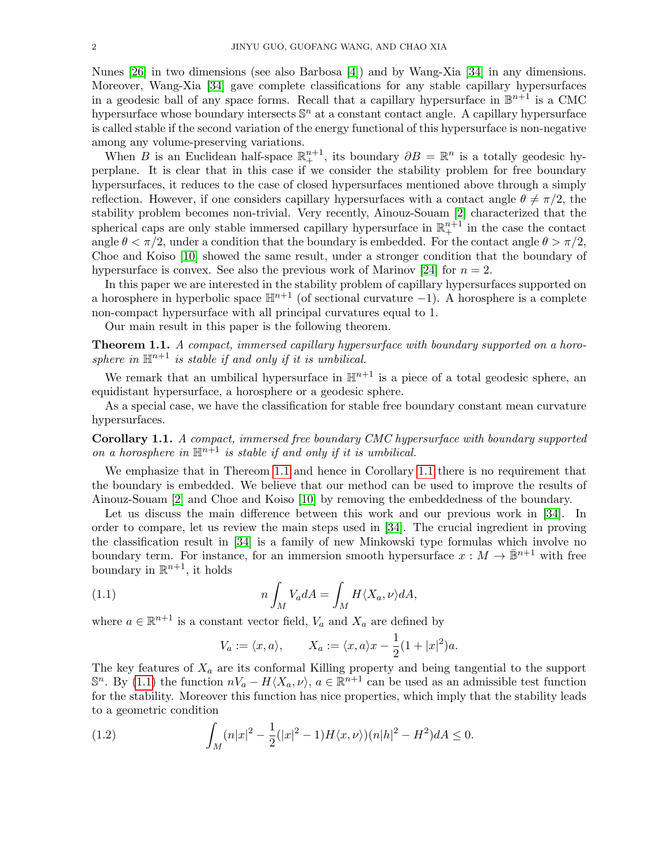Nunes [\[26\]](#page-15-4) in two dimensions (see also Barbosa [\[4\]](#page-14-8)) and by Wang-Xia [\[34\]](#page-15-5) in any dimensions. Moreover, Wang-Xia [\[34\]](#page-15-5) gave complete classifications for any stable capillary hypersurfaces in a geodesic ball of any space forms. Recall that a capillary hypersurface in  $\mathbb{B}^{n+1}$  is a CMC hypersurface whose boundary intersects  $\mathbb{S}^n$  at a constant contact angle. A capillary hypersurface is called stable if the second variation of the energy functional of this hypersurface is non-negative among any volume-preserving variations.

When B is an Euclidean half-space  $\mathbb{R}^{n+1}_+$ , its boundary  $\partial B = \mathbb{R}^n$  is a totally geodesic hyperplane. It is clear that in this case if we consider the stability problem for free boundary hypersurfaces, it reduces to the case of closed hypersurfaces mentioned above through a simply reflection. However, if one considers capillary hypersurfaces with a contact angle  $\theta \neq \pi/2$ , the stability problem becomes non-trivial. Very recently, Ainouz-Souam [\[2\]](#page-14-9) characterized that the spherical caps are only stable immersed capillary hypersurface in  $\mathbb{R}^{n+1}_+$  in the case the contact angle  $\theta < \pi/2$ , under a condition that the boundary is embedded. For the contact angle  $\theta > \pi/2$ , Choe and Koiso [\[10\]](#page-14-10) showed the same result, under a stronger condition that the boundary of hypersurface is convex. See also the previous work of Marinov [\[24\]](#page-15-6) for  $n = 2$ .

In this paper we are interested in the stability problem of capillary hypersurfaces supported on a horosphere in hyperbolic space  $\mathbb{H}^{n+1}$  (of sectional curvature -1). A horosphere is a complete non-compact hypersurface with all principal curvatures equal to 1.

Our main result in this paper is the following theorem.

<span id="page-1-0"></span>Theorem 1.1. A compact, immersed capillary hypersurface with boundary supported on a horosphere in  $\mathbb{H}^{n+1}$  is stable if and only if it is umbilical.

We remark that an umbilical hypersurface in  $\mathbb{H}^{n+1}$  is a piece of a total geodesic sphere, an equidistant hypersurface, a horosphere or a geodesic sphere.

As a special case, we have the classification for stable free boundary constant mean curvature hypersurfaces.

<span id="page-1-1"></span>Corollary 1.1. A compact, immersed free boundary CMC hypersurface with boundary supported on a horosphere in  $\mathbb{H}^{n+1}$  is stable if and only if it is umbilical.

We emphasize that in Thereom [1.1](#page-1-1) and hence in Corollary 1.1 there is no requirement that the boundary is embedded. We believe that our method can be used to improve the results of Ainouz-Souam [\[2\]](#page-14-9) and Choe and Koiso [\[10\]](#page-14-10) by removing the embeddedness of the boundary.

Let us discuss the main difference between this work and our previous work in [\[34\]](#page-15-5). In order to compare, let us review the main steps used in [\[34\]](#page-15-5). The crucial ingredient in proving the classification result in [\[34\]](#page-15-5) is a family of new Minkowski type formulas which involve no boundary term. For instance, for an immersion smooth hypersurface  $x : M \to \mathbb{B}^{n+1}$  with free boundary in  $\mathbb{R}^{n+1}$ , it holds

(1.1) 
$$
n \int_M V_a dA = \int_M H \langle X_a, \nu \rangle dA,
$$

where  $a \in \mathbb{R}^{n+1}$  is a constant vector field,  $V_a$  and  $X_a$  are defined by

<span id="page-1-3"></span><span id="page-1-2"></span>
$$
V_a := \langle x, a \rangle, \qquad X_a := \langle x, a \rangle x - \frac{1}{2} (1 + |x|^2) a.
$$

The key features of  $X_a$  are its conformal Killing property and being tangential to the support  $\mathbb{S}^n$ . By [\(1.1\)](#page-1-2) the function  $nV_a - H\langle X_a, \nu \rangle$ ,  $a \in \mathbb{R}^{n+1}$  can be used as an admissible test function for the stability. Moreover this function has nice properties, which imply that the stability leads to a geometric condition

(1.2) 
$$
\int_M (n|x|^2 - \frac{1}{2}(|x|^2 - 1)H\langle x,\nu\rangle)(n|h|^2 - H^2)dA \le 0.
$$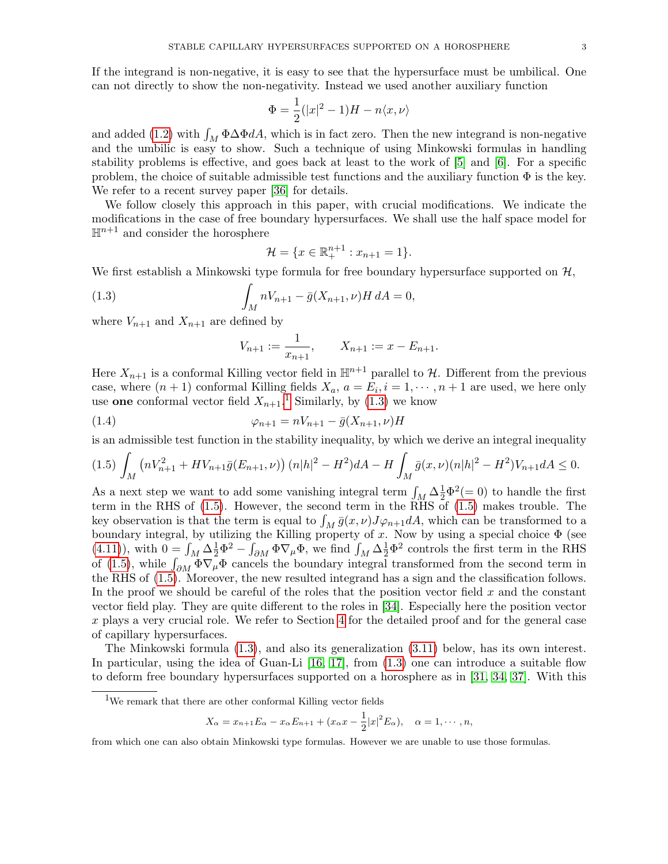If the integrand is non-negative, it is easy to see that the hypersurface must be umbilical. One can not directly to show the non-negativity. Instead we used another auxiliary function

$$
\Phi = \frac{1}{2}(|x|^2 - 1)H - n\langle x, \nu \rangle
$$

and added [\(1.2\)](#page-1-3) with  $\int_M \Phi \Delta \Phi dA$ , which is in fact zero. Then the new integrand is non-negative and the umbilic is easy to show. Such a technique of using Minkowski formulas in handling stability problems is effective, and goes back at least to the work of [\[5\]](#page-14-0) and [\[6\]](#page-14-1). For a specific problem, the choice of suitable admissible test functions and the auxiliary function  $\Phi$  is the key. We refer to a recent survey paper [\[36\]](#page-15-7) for details.

We follow closely this approach in this paper, with crucial modifications. We indicate the modifications in the case of free boundary hypersurfaces. We shall use the half space model for  $\mathbb{H}^{n+1}$  and consider the horosphere

<span id="page-2-1"></span>
$$
\mathcal{H} = \{x \in \mathbb{R}^{n+1}_+ : x_{n+1} = 1\}.
$$

We first establish a Minkowski type formula for free boundary hypersurface supported on  $\mathcal{H}$ ,

(1.3) 
$$
\int_{M} nV_{n+1} - \bar{g}(X_{n+1}, \nu)H dA = 0,
$$

where  $V_{n+1}$  and  $X_{n+1}$  are defined by

$$
V_{n+1} := \frac{1}{x_{n+1}}, \qquad X_{n+1} := x - E_{n+1}.
$$

Here  $X_{n+1}$  is a conformal Killing vector field in  $\mathbb{H}^{n+1}$  parallel to H. Different from the previous case, where  $(n+1)$  conformal Killing fields  $X_a$ ,  $a = E_i$ ,  $i = 1, \dots, n+1$  are used, we here only use one conformal vector field  $X_{n+1}$  $X_{n+1}$  $X_{n+1}$ .<sup>1</sup> Similarly, by [\(1.3\)](#page-2-1) we know

(1.4) 
$$
\varphi_{n+1} = nV_{n+1} - \bar{g}(X_{n+1}, \nu)H
$$

is an admissible test function in the stability inequality, by which we derive an integral inequality

<span id="page-2-2"></span>
$$
(1.5)\int_M \left(nV_{n+1}^2 + HV_{n+1}\bar{g}(E_{n+1},\nu)\right)(n|h|^2 - H^2)dA - H\int_M \bar{g}(x,\nu)(n|h|^2 - H^2)V_{n+1}dA \le 0.
$$

As a next step we want to add some vanishing integral term  $\int_M \Delta \frac{1}{2} \Phi^2 (= 0)$  to handle the first term in the RHS of [\(1.5\)](#page-2-2). However, the second term in the RHS of [\(1.5\)](#page-2-2) makes trouble. The key observation is that the term is equal to  $\int_M \bar{g}(x,\nu)J\varphi_{n+1}dA$ , which can be transformed to a boundary integral, by utilizing the Killing property of x. Now by using a special choice  $\Phi$  (see [\(4.11\)](#page-12-0)), with  $0 = \int_M \Delta \frac{1}{2} \Phi^2 - \int_{\partial M} \Phi \nabla_{\mu} \Phi$ , we find  $\int_M \Delta \frac{1}{2} \Phi^2$  controls the first term in the RHS of [\(1.5\)](#page-2-2), while  $\int_{\partial M} \Phi \nabla_{\mu} \Phi$  cancels the boundary integral transformed from the second term in the RHS of [\(1.5\)](#page-2-2). Moreover, the new resulted integrand has a sign and the classification follows. In the proof we should be careful of the roles that the position vector field  $x$  and the constant vector field play. They are quite different to the roles in [\[34\]](#page-15-5). Especially here the position vector x plays a very crucial role. We refer to Section [4](#page-11-0) for the detailed proof and for the general case of capillary hypersurfaces.

The Minkowski formula [\(1.3\)](#page-2-1), and also its generalization [\(3.11\)](#page-9-0) below, has its own interest. In particular, using the idea of Guan-Li  $[16, 17]$  $[16, 17]$ , from  $(1.3)$  one can introduce a suitable flow to deform free boundary hypersurfaces supported on a horosphere as in [\[31,](#page-15-10) [34,](#page-15-5) [37\]](#page-15-11). With this

$$
X_{\alpha} = x_{n+1}E_{\alpha} - x_{\alpha}E_{n+1} + (x_{\alpha}x - \frac{1}{2}|x|^2 E_{\alpha}), \quad \alpha = 1, \cdots, n,
$$

<span id="page-2-0"></span><sup>1</sup>We remark that there are other conformal Killing vector fields

from which one can also obtain Minkowski type formulas. However we are unable to use those formulas.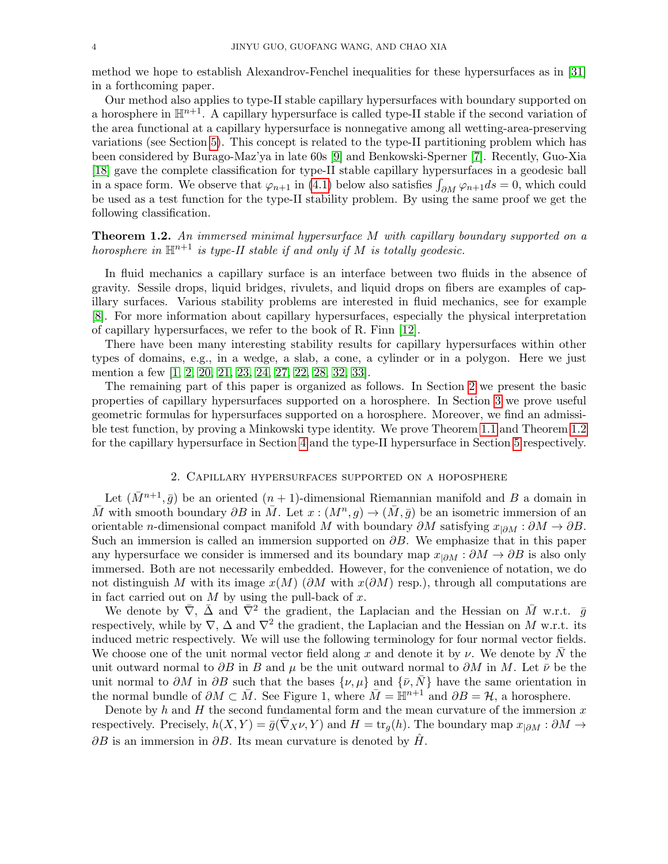method we hope to establish Alexandrov-Fenchel inequalities for these hypersurfaces as in [\[31\]](#page-15-10) in a forthcoming paper.

Our method also applies to type-II stable capillary hypersurfaces with boundary supported on a horosphere in  $\mathbb{H}^{n+1}$ . A capillary hypersurface is called type-II stable if the second variation of the area functional at a capillary hypersurface is nonnegative among all wetting-area-preserving variations (see Section [5\)](#page-13-0). This concept is related to the type-II partitioning problem which has been considered by Burago-Maz'ya in late 60s [\[9\]](#page-14-5) and Benkowski-Sperner [\[7\]](#page-14-6). Recently, Guo-Xia [\[18\]](#page-15-12) gave the complete classification for type-II stable capillary hypersurfaces in a geodesic ball in a space form. We observe that  $\varphi_{n+1}$  in [\(4.1\)](#page-11-1) below also satisfies  $\int_{\partial M} \varphi_{n+1} ds = 0$ , which could be used as a test function for the type-II stability problem. By using the same proof we get the following classification.

<span id="page-3-1"></span>Theorem 1.2. An immersed minimal hypersurface M with capillary boundary supported on a horosphere in  $\mathbb{H}^{n+1}$  is type-II stable if and only if M is totally geodesic.

In fluid mechanics a capillary surface is an interface between two fluids in the absence of gravity. Sessile drops, liquid bridges, rivulets, and liquid drops on fibers are examples of capillary surfaces. Various stability problems are interested in fluid mechanics, see for example [\[8\]](#page-14-11). For more information about capillary hypersurfaces, especially the physical interpretation of capillary hypersurfaces, we refer to the book of R. Finn [\[12\]](#page-14-12).

There have been many interesting stability results for capillary hypersurfaces within other types of domains, e.g., in a wedge, a slab, a cone, a cylinder or in a polygon. Here we just mention a few [\[1,](#page-14-13) [2,](#page-14-9) [20,](#page-15-13) [21,](#page-15-14) [23,](#page-15-15) [24,](#page-15-6) [27,](#page-15-16) [22,](#page-15-17) [28,](#page-15-18) [32,](#page-15-19) [33\]](#page-15-20).

The remaining part of this paper is organized as follows. In Section [2](#page-3-0) we present the basic properties of capillary hypersurfaces supported on a horosphere. In Section [3](#page-7-0) we prove useful geometric formulas for hypersurfaces supported on a horosphere. Moreover, we find an admissible test function, by proving a Minkowski type identity. We prove Theorem [1.1](#page-1-0) and Theorem [1.2](#page-3-1) for the capillary hypersurface in Section [4](#page-11-0) and the type-II hypersurface in Section [5](#page-13-0) respectively.

# 2. Capillary hypersurfaces supported on a hoposphere

<span id="page-3-0"></span>Let  $(\bar{M}^{n+1}, \bar{g})$  be an oriented  $(n+1)$ -dimensional Riemannian manifold and B a domain in  $\overline{M}$  with smooth boundary  $\partial B$  in  $\overline{M}$ . Let  $x:(M^n,g)\to (\overline{M},\overline{g})$  be an isometric immersion of an orientable n-dimensional compact manifold M with boundary  $\partial M$  satisfying  $x_{|\partial M} : \partial M \to \partial B$ . Such an immersion is called an immersion supported on  $\partial B$ . We emphasize that in this paper any hypersurface we consider is immersed and its boundary map  $x_{i\partial M}$ :  $\partial M \to \partial B$  is also only immersed. Both are not necessarily embedded. However, for the convenience of notation, we do not distinguish M with its image  $x(M)$  (∂M with  $x(\partial M)$  resp.), through all computations are in fact carried out on  $M$  by using the pull-back of  $x$ .

We denote by  $\bar{\nabla}$ ,  $\bar{\Delta}$  and  $\bar{\nabla}^2$  the gradient, the Laplacian and the Hessian on  $\bar{M}$  w.r.t.  $\bar{g}$ respectively, while by  $\nabla$ ,  $\Delta$  and  $\nabla^2$  the gradient, the Laplacian and the Hessian on M w.r.t. its induced metric respectively. We will use the following terminology for four normal vector fields. We choose one of the unit normal vector field along x and denote it by  $\nu$ . We denote by N the unit outward normal to  $\partial B$  in B and  $\mu$  be the unit outward normal to  $\partial M$  in M. Let  $\bar{\nu}$  be the unit normal to  $\partial M$  in  $\partial B$  such that the bases  $\{\nu, \mu\}$  and  $\{\bar{\nu}, \bar{N}\}$  have the same orientation in the normal bundle of  $\partial M \subset \overline{M}$ . See Figure 1, where  $\overline{M} = \mathbb{H}^{n+1}$  and  $\partial B = \mathcal{H}$ , a horosphere.

Denote by  $h$  and  $H$  the second fundamental form and the mean curvature of the immersion  $x$ respectively. Precisely,  $h(X, Y) = \bar{g}(\nabla_X \nu, Y)$  and  $H = \text{tr}_q(h)$ . The boundary map  $x_{|\partial M} : \partial M \to$  $\partial B$  is an immersion in  $\partial B$ . Its mean curvature is denoted by H.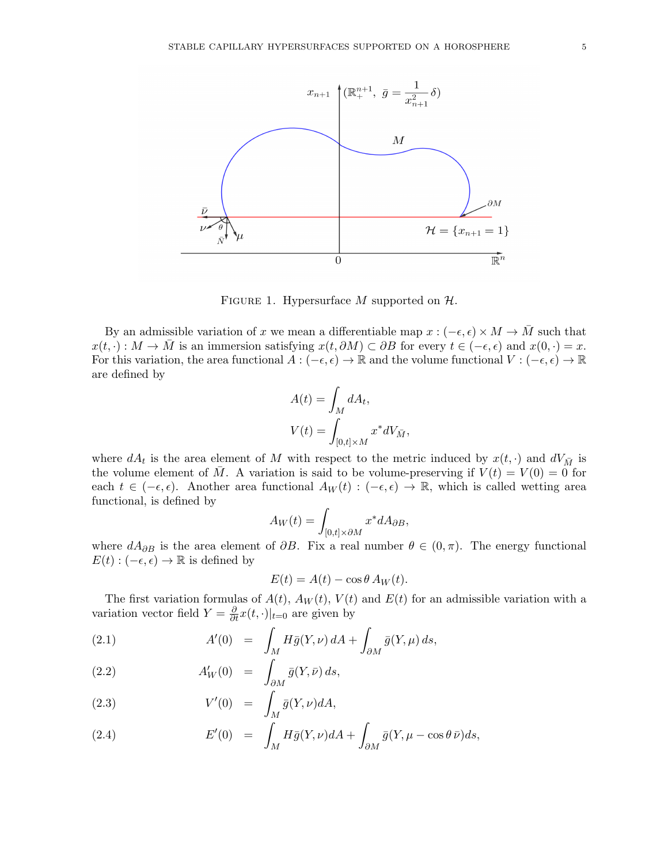

FIGURE 1. Hypersurface M supported on  $H$ .

By an admissible variation of x we mean a differentiable map  $x : (-\epsilon, \epsilon) \times M \to \overline{M}$  such that  $x(t, \cdot) : M \to M$  is an immersion satisfying  $x(t, \partial M) \subset \partial B$  for every  $t \in (-\epsilon, \epsilon)$  and  $x(0, \cdot) = x$ . For this variation, the area functional  $A: (-\epsilon, \epsilon) \to \mathbb{R}$  and the volume functional  $V: (-\epsilon, \epsilon) \to \mathbb{R}$ are defined by

$$
A(t) = \int_M dA_t,
$$
  

$$
V(t) = \int_{[0,t] \times M} x^* dV_{\bar{M}},
$$

where  $dA_t$  is the area element of M with respect to the metric induced by  $x(t, \cdot)$  and  $dV_{\bar{M}}$  is the volume element of M. A variation is said to be volume-preserving if  $V(t) = V(0) = 0$  for each  $t \in (-\epsilon, \epsilon)$ . Another area functional  $A_W(t) : (-\epsilon, \epsilon) \to \mathbb{R}$ , which is called wetting area functional, is defined by

$$
A_W(t) = \int_{[0,t] \times \partial M} x^* dA_{\partial B},
$$

where  $dA_{\partial B}$  is the area element of  $\partial B$ . Fix a real number  $\theta \in (0, \pi)$ . The energy functional  $E(t): (-\epsilon, \epsilon) \to \mathbb{R}$  is defined by

<span id="page-4-0"></span>
$$
E(t) = A(t) - \cos \theta A_W(t).
$$

The first variation formulas of  $A(t)$ ,  $A_W(t)$ ,  $V(t)$  and  $E(t)$  for an admissible variation with a variation vector field  $Y = \frac{\partial}{\partial t} x(t, \cdot)|_{t=0}$  are given by

(2.1) 
$$
A'(0) = \int_M H\bar{g}(Y,\nu) dA + \int_{\partial M} \bar{g}(Y,\mu) ds,
$$

(2.2) 
$$
A'_W(0) = \int_{\partial M} \bar{g}(Y,\bar{\nu}) ds,
$$

(2.3) 
$$
V'(0) = \int_M \bar{g}(Y,\nu) dA,
$$

(2.4) 
$$
E'(0) = \int_M H\bar{g}(Y,\nu)dA + \int_{\partial M}\bar{g}(Y,\mu-\cos\theta\,\bar{\nu})ds,
$$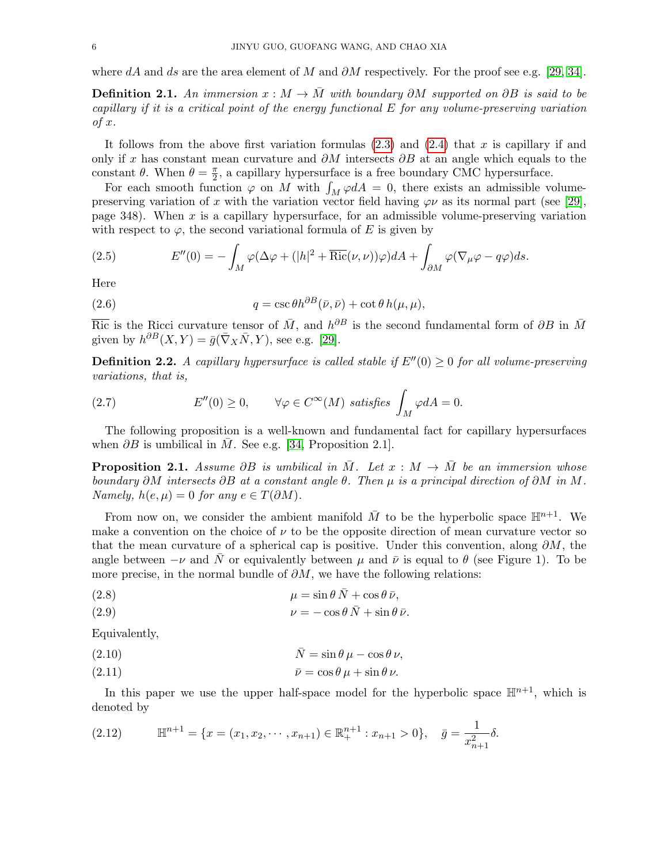where dA and ds are the area element of M and  $\partial M$  respectively. For the proof see e.g. [\[29,](#page-15-2) [34\]](#page-15-5).

**Definition 2.1.** An immersion  $x : M \to \overline{M}$  with boundary ∂M supported on ∂B is said to be capillary if it is a critical point of the energy functional  $E$  for any volume-preserving variation of x.

It follows from the above first variation formulas  $(2.3)$  and  $(2.4)$  that x is capillary if and only if x has constant mean curvature and  $\partial M$  intersects  $\partial B$  at an angle which equals to the constant  $\theta$ . When  $\theta = \frac{\pi}{2}$  $\frac{\pi}{2}$ , a capillary hypersurface is a free boundary CMC hypersurface.

For each smooth function  $\varphi$  on M with  $\int_M \varphi dA = 0$ , there exists an admissible volumepreserving variation of x with the variation vector field having  $\varphi \nu$  as its normal part (see [\[29\]](#page-15-2), page 348). When  $x$  is a capillary hypersurface, for an admissible volume-preserving variation with respect to  $\varphi$ , the second variational formula of E is given by

<span id="page-5-0"></span>(2.5) 
$$
E''(0) = -\int_M \varphi(\Delta \varphi + (|h|^2 + \overline{\text{Ric}}(\nu, \nu))\varphi) dA + \int_{\partial M} \varphi(\nabla_\mu \varphi - q\varphi) ds.
$$

Here

<span id="page-5-1"></span>(2.6) 
$$
q = \csc \theta h^{\partial B}(\bar{\nu}, \bar{\nu}) + \cot \theta h(\mu, \mu),
$$

 $\overline{\text{Ric}}$  is the Ricci curvature tensor of  $\overline{M}$ , and  $h^{\partial B}$  is the second fundamental form of  $\partial B$  in  $\overline{M}$ given by  $h^{\partial B}(X,Y) = \bar{g}(\bar{\nabla}_X \bar{N}, Y)$ , see e.g. [\[29\]](#page-15-2).

**Definition 2.2.** A capillary hypersurface is called stable if  $E''(0) > 0$  for all volume-preserving variations, that is,

<span id="page-5-2"></span>(2.7) 
$$
E''(0) \ge 0
$$
,  $\forall \varphi \in C^{\infty}(M)$  satisfies  $\int_M \varphi dA = 0$ .

The following proposition is a well-known and fundamental fact for capillary hypersurfaces when  $\partial B$  is umbilical in  $\overline{M}$ . See e.g. [\[34,](#page-15-5) Proposition 2.1].

<span id="page-5-5"></span>**Proposition 2.1.** Assume ∂B is umbilical in  $\overline{M}$ . Let  $x : M \rightarrow \overline{M}$  be an immersion whose boundary  $\partial M$  intersects  $\partial B$  at a constant angle  $\theta$ . Then  $\mu$  is a principal direction of  $\partial M$  in  $M$ . Namely,  $h(e, \mu) = 0$  for any  $e \in T(\partial M)$ .

From now on, we consider the ambient manifold  $\overline{M}$  to be the hyperbolic space  $\mathbb{H}^{n+1}$ . We make a convention on the choice of  $\nu$  to be the opposite direction of mean curvature vector so that the mean curvature of a spherical cap is positive. Under this convention, along  $\partial M$ , the angle between  $-\nu$  and N or equivalently between  $\mu$  and  $\bar{\nu}$  is equal to  $\theta$  (see Figure 1). To be more precise, in the normal bundle of  $\partial M$ , we have the following relations:

<span id="page-5-3"></span>(2.8) 
$$
\mu = \sin \theta \, \bar{N} + \cos \theta \, \bar{\nu},
$$

(2.9) 
$$
\nu = -\cos\theta \, \bar{N} + \sin\theta \, \bar{\nu}.
$$

Equivalently,

<span id="page-5-4"></span>(2.10) 
$$
\bar{N} = \sin \theta \, \mu - \cos \theta \, \nu,
$$

$$
\bar{\nu} = \cos \theta \, \mu + \sin \theta \, \nu.
$$

In this paper we use the upper half-space model for the hyperbolic space  $\mathbb{H}^{n+1}$ , which is denoted by

$$
(2.12) \t\mathbb{H}^{n+1} = \{x = (x_1, x_2, \cdots, x_{n+1}) \in \mathbb{R}^{n+1}_+ : x_{n+1} > 0\}, \quad \bar{g} = \frac{1}{x_{n+1}^2} \delta.
$$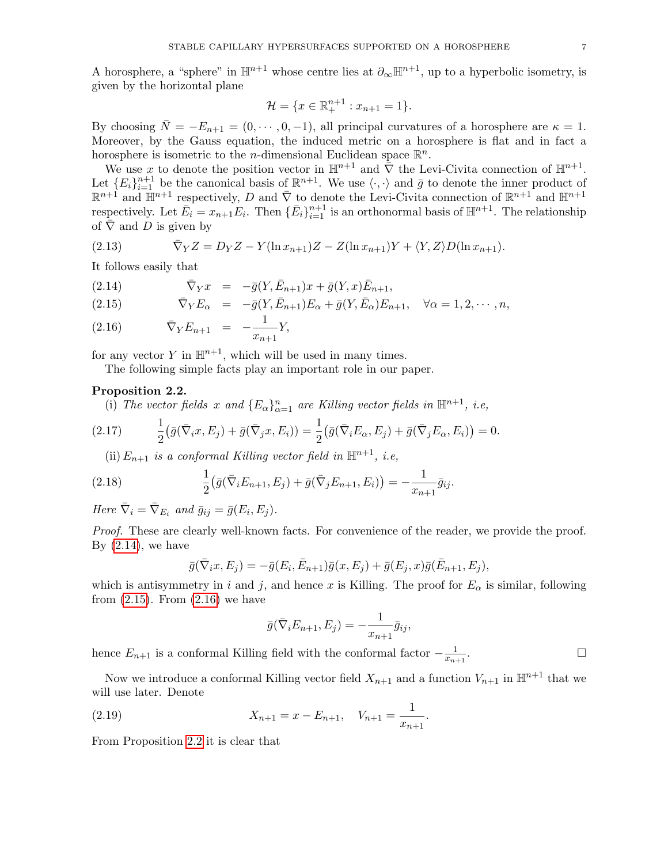A horosphere, a "sphere" in  $\mathbb{H}^{n+1}$  whose centre lies at  $\partial_{\infty} \mathbb{H}^{n+1}$ , up to a hyperbolic isometry, is given by the horizontal plane

$$
\mathcal{H} = \{x \in \mathbb{R}_+^{n+1} : x_{n+1} = 1\}.
$$

By choosing  $\overline{N} = -E_{n+1} = (0, \dots, 0, -1)$ , all principal curvatures of a horosphere are  $\kappa = 1$ . Moreover, by the Gauss equation, the induced metric on a horosphere is flat and in fact a horosphere is isometric to the *n*-dimensional Euclidean space  $\mathbb{R}^n$ .

We use x to denote the position vector in  $\mathbb{H}^{n+1}$  and  $\overline{\nabla}$  the Levi-Civita connection of  $\mathbb{H}^{n+1}$ . Let  ${E_i}_{i=1}^{n+1}$  be the canonical basis of  $\mathbb{R}^{n+1}$ . We use  $\langle \cdot, \cdot \rangle$  and  $\bar{g}$  to denote the inner product of  $\mathbb{R}^{n+1}$  and  $\mathbb{H}^{n+1}$  respectively, D and  $\overline{\nabla}$  to denote the Levi-Civita connection of  $\mathbb{R}^{n+1}$  and  $\mathbb{H}^{n+1}$ respectively. Let  $\overline{E}_i = x_{n+1} E_i$ . Then  $\{\overline{E}_i\}_{i=1}^{n+1}$  is an orthonormal basis of  $\mathbb{H}^{n+1}$ . The relationship of  $\overline{\nabla}$  and D is given by

<span id="page-6-4"></span>(2.13) 
$$
\bar{\nabla}_Y Z = D_Y Z - Y(\ln x_{n+1})Z - Z(\ln x_{n+1})Y + \langle Y, Z \rangle D(\ln x_{n+1}).
$$

It follows easily that

<span id="page-6-0"></span>(2.14) 
$$
\bar{\nabla}_Y x = -\bar{g}(Y, \bar{E}_{n+1})x + \bar{g}(Y, x)\bar{E}_{n+1},
$$

(2.15) 
$$
\overline{\nabla}_Y E_\alpha = -\overline{g}(Y, \overline{E}_{n+1}) E_\alpha + \overline{g}(Y, \overline{E}_\alpha) E_{n+1}, \quad \forall \alpha = 1, 2, \cdots, n,
$$

(2.16) 
$$
\bar{\nabla}_Y E_{n+1} = -\frac{1}{x_{n+1}} Y,
$$

for any vector  $Y$  in  $\mathbb{H}^{n+1}$ , which will be used in many times.

The following simple facts play an important role in our paper.

### <span id="page-6-1"></span>Proposition 2.2.

(i) The vector fields x and  $\{E_{\alpha}\}_{\alpha=1}^n$  are Killing vector fields in  $\mathbb{H}^{n+1}$ , i.e,

(2.17) 
$$
\frac{1}{2}(\bar{g}(\bar{\nabla}_ix, E_j) + \bar{g}(\bar{\nabla}_jx, E_i)) = \frac{1}{2}(\bar{g}(\bar{\nabla}_iE_\alpha, E_j) + \bar{g}(\bar{\nabla}_jE_\alpha, E_i)) = 0.
$$

<span id="page-6-2"></span>(ii)  $E_{n+1}$  is a conformal Killing vector field in  $\mathbb{H}^{n+1}$ , i.e,

(2.18) 
$$
\frac{1}{2} (\bar{g}(\bar{\nabla}_i E_{n+1}, E_j) + \bar{g}(\bar{\nabla}_j E_{n+1}, E_i)) = -\frac{1}{x_{n+1}} \bar{g}_{ij}.
$$

Here  $\bar{\nabla}_i = \bar{\nabla}_{E_i}$  and  $\bar{g}_{ij} = \bar{g}(E_i, E_j)$ .

Proof. These are clearly well-known facts. For convenience of the reader, we provide the proof. By  $(2.14)$ , we have

<span id="page-6-3"></span>
$$
\bar{g}(\bar{\nabla}_ix, E_j) = -\bar{g}(E_i, \bar{E}_{n+1})\bar{g}(x, E_j) + \bar{g}(E_j, x)\bar{g}(\bar{E}_{n+1}, E_j),
$$

which is antisymmetry in i and j, and hence x is Killing. The proof for  $E_{\alpha}$  is similar, following from  $(2.15)$ . From  $(2.16)$  we have

$$
\bar{g}(\bar{\nabla}_i E_{n+1}, E_j) = -\frac{1}{x_{n+1}} \bar{g}_{ij},
$$

hence  $E_{n+1}$  is a conformal Killing field with the conformal factor  $-\frac{1}{x_n}$  $\frac{x_{n+1}}{x_{n+1}}$ . — Процессиональные просто производства и продага в собстановки производства и производства и производства и<br>В собстановки производства и производства и производства и производства и производства и производства и произв<br>

Now we introduce a conformal Killing vector field  $X_{n+1}$  and a function  $V_{n+1}$  in  $\mathbb{H}^{n+1}$  that we will use later. Denote

.

(2.19) 
$$
X_{n+1} = x - E_{n+1}, \quad V_{n+1} = \frac{1}{x_{n+1}}
$$

From Proposition [2.2](#page-6-1) it is clear that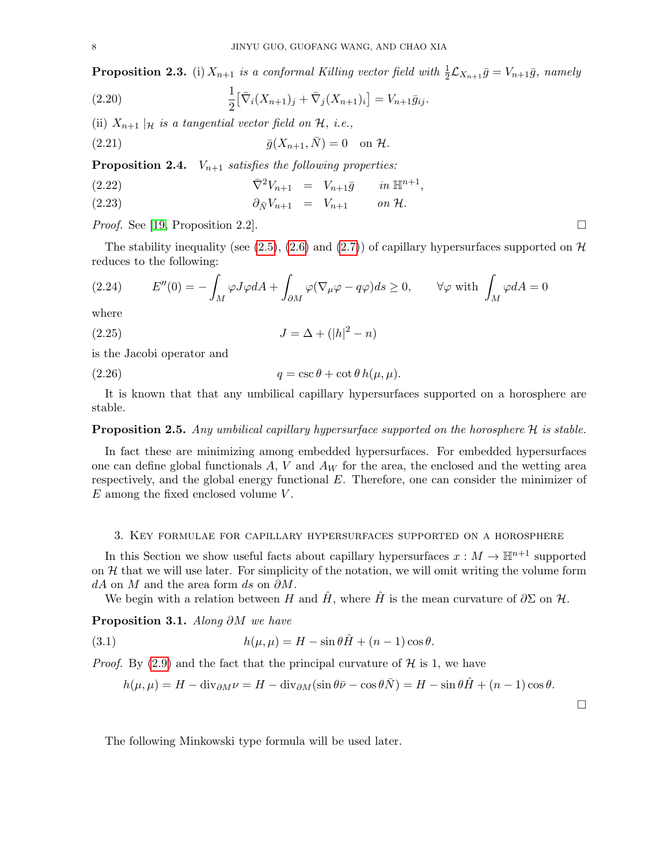**Proposition 2.3.** (i)  $X_{n+1}$  is a conformal Killing vector field with  $\frac{1}{2} \mathcal{L}_{X_{n+1}} \bar{g} = V_{n+1} \bar{g}$ , namely

<span id="page-7-1"></span>(2.20) 
$$
\frac{1}{2} [\bar{\nabla}_i (X_{n+1})_j + \bar{\nabla}_j (X_{n+1})_i] = V_{n+1} \bar{g}_{ij}.
$$

(ii)  $X_{n+1} |_{\mathcal{H}}$  is a tangential vector field on  $\mathcal{H}$ , i.e.,

<span id="page-7-2"></span>(2.21) 
$$
\overline{g}(X_{n+1}, \overline{N}) = 0 \text{ on } \mathcal{H}.
$$

**Proposition 2.4.**  $V_{n+1}$  satisfies the following properties:

<span id="page-7-5"></span>(2.22) 
$$
\bar{\nabla}^2 V_{n+1} = V_{n+1} \bar{g} \quad in \, \mathbb{H}^{n+1},
$$

$$
\partial_{\bar{N}}V_{n+1} = V_{n+1} \quad on \mathcal{H}.
$$

*Proof.* See [\[19,](#page-15-21) Proposition 2.2].

The stability inequality (see [\(2.5\)](#page-5-0), [\(2.6\)](#page-5-1) and [\(2.7\)](#page-5-2)) of capillary hypersurfaces supported on  $\mathcal{H}$ reduces to the following:

<span id="page-7-4"></span>(2.24) 
$$
E''(0) = -\int_M \varphi J \varphi dA + \int_{\partial M} \varphi (\nabla_\mu \varphi - q \varphi) ds \ge 0, \quad \forall \varphi \text{ with } \int_M \varphi dA = 0
$$

where

<span id="page-7-7"></span>(2.25) 
$$
J = \Delta + (|h|^2 - n)
$$

is the Jacobi operator and

<span id="page-7-3"></span>(2.26) 
$$
q = \csc \theta + \cot \theta \, h(\mu, \mu).
$$

It is known that that any umbilical capillary hypersurfaces supported on a horosphere are stable.

### <span id="page-7-8"></span>**Proposition 2.5.** Any umbilical capillary hypersurface supported on the horosphere  $H$  is stable.

In fact these are minimizing among embedded hypersurfaces. For embedded hypersurfaces one can define global functionals  $A, V$  and  $A_W$  for the area, the enclosed and the wetting area respectively, and the global energy functional E. Therefore, one can consider the minimizer of  $E$  among the fixed enclosed volume  $V$ .

### <span id="page-7-0"></span>3. Key formulae for capillary hypersurfaces supported on a horosphere

In this Section we show useful facts about capillary hypersurfaces  $x : M \to \mathbb{H}^{n+1}$  supported on  $H$  that we will use later. For simplicity of the notation, we will omit writing the volume form dA on M and the area form ds on  $\partial M$ .

We begin with a relation between H and  $\hat{H}$ , where  $\hat{H}$  is the mean curvature of  $\partial \Sigma$  on H.

Proposition 3.1. Along ∂M we have

(3.1) 
$$
h(\mu,\mu) = H - \sin\theta \hat{H} + (n-1)\cos\theta.
$$

*Proof.* By [\(2.9\)](#page-5-3) and the fact that the principal curvature of  $H$  is 1, we have

<span id="page-7-6"></span>
$$
h(\mu, \mu) = H - \text{div}_{\partial M} \nu = H - \text{div}_{\partial M} (\sin \theta \bar{\nu} - \cos \theta \bar{N}) = H - \sin \theta \hat{H} + (n - 1) \cos \theta.
$$

The following Minkowski type formula will be used later.

 $\Box$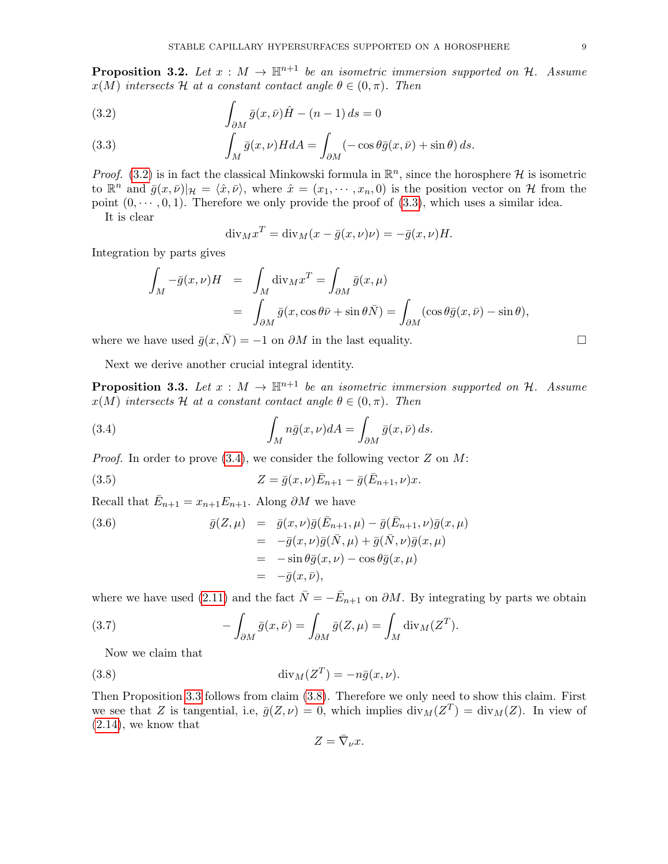**Proposition 3.2.** Let  $x : M \to \mathbb{H}^{n+1}$  be an isometric immersion supported on H. Assume  $x(M)$  intersects H at a constant contact angle  $\theta \in (0, \pi)$ . Then

<span id="page-8-0"></span>(3.2) 
$$
\int_{\partial M} \bar{g}(x,\bar{\nu}) \hat{H} - (n-1) \, ds = 0
$$

(3.3) 
$$
\int_M \bar{g}(x,\nu) H dA = \int_{\partial M} (-\cos\theta \bar{g}(x,\bar{\nu}) + \sin\theta) ds.
$$

*Proof.* [\(3.2\)](#page-8-0) is in fact the classical Minkowski formula in  $\mathbb{R}^n$ , since the horosphere H is isometric to  $\mathbb{R}^n$  and  $\bar{g}(x,\bar{\nu})|_{\mathcal{H}} = \langle \hat{x}, \bar{\nu} \rangle$ , where  $\hat{x} = (x_1, \dots, x_n, 0)$  is the position vector on H from the point  $(0, \dots, 0, 1)$ . Therefore we only provide the proof of  $(3.3)$ , which uses a similar idea. It is clear

$$
\mathrm{div}_M x^T = \mathrm{div}_M (x - \bar{g}(x,\nu)\nu) = -\bar{g}(x,\nu)H.
$$

Integration by parts gives

<span id="page-8-1"></span>
$$
\int_M -\bar{g}(x,\nu)H = \int_M \text{div}_M x^T = \int_{\partial M} \bar{g}(x,\mu)
$$

$$
= \int_{\partial M} \bar{g}(x,\cos\theta\bar{\nu} + \sin\theta\bar{N}) = \int_{\partial M} (\cos\theta\bar{g}(x,\bar{\nu}) - \sin\theta),
$$

where we have used  $\bar{g}(x, \bar{N}) = -1$  on  $\partial M$  in the last equality.

Next we derive another crucial integral identity.

<span id="page-8-2"></span>**Proposition 3.3.** Let  $x : M \to \mathbb{H}^{n+1}$  be an isometric immersion supported on H. Assume  $x(M)$  intersects H at a constant contact angle  $\theta \in (0, \pi)$ . Then

(3.4) 
$$
\int_M n\bar{g}(x,\nu)dA = \int_{\partial M} \bar{g}(x,\bar{\nu}) ds.
$$

*Proof.* In order to prove  $(3.4)$ , we consider the following vector Z on M:

(3.5) 
$$
Z = \bar{g}(x,\nu)\bar{E}_{n+1} - \bar{g}(\bar{E}_{n+1},\nu)x.
$$

Recall that  $\bar{E}_{n+1} = x_{n+1}E_{n+1}$ . Along  $\partial M$  we have

(3.6) 
$$
\bar{g}(Z,\mu) = \bar{g}(x,\nu)\bar{g}(\bar{E}_{n+1},\mu) - \bar{g}(\bar{E}_{n+1},\nu)\bar{g}(x,\mu) \n= -\bar{g}(x,\nu)\bar{g}(\bar{N},\mu) + \bar{g}(\bar{N},\nu)\bar{g}(x,\mu) \n= -\sin\theta\bar{g}(x,\nu) - \cos\theta\bar{g}(x,\mu) \n= -\bar{g}(x,\bar{\nu}),
$$

where we have used [\(2.11\)](#page-5-4) and the fact  $\bar{N} = -\bar{E}_{n+1}$  on  $\partial M$ . By integrating by parts we obtain

(3.7) 
$$
-\int_{\partial M} \bar{g}(x,\bar{\nu}) = \int_{\partial M} \bar{g}(Z,\mu) = \int_M \operatorname{div}_M (Z^T).
$$

Now we claim that

(3.8) 
$$
\operatorname{div}_M(Z^T) = -n\bar{g}(x,\nu).
$$

Then Proposition [3.3](#page-8-2) follows from claim [\(3.8\)](#page-8-3). Therefore we only need to show this claim. First we see that Z is tangential, i.e,  $\bar{g}(Z,\nu) = 0$ , which implies  $\text{div}_M(Z^T) = \text{div}_M(Z)$ . In view of [\(2.14\)](#page-6-0), we know that

<span id="page-8-3"></span>
$$
Z=\bar{\nabla}_{\nu}x.
$$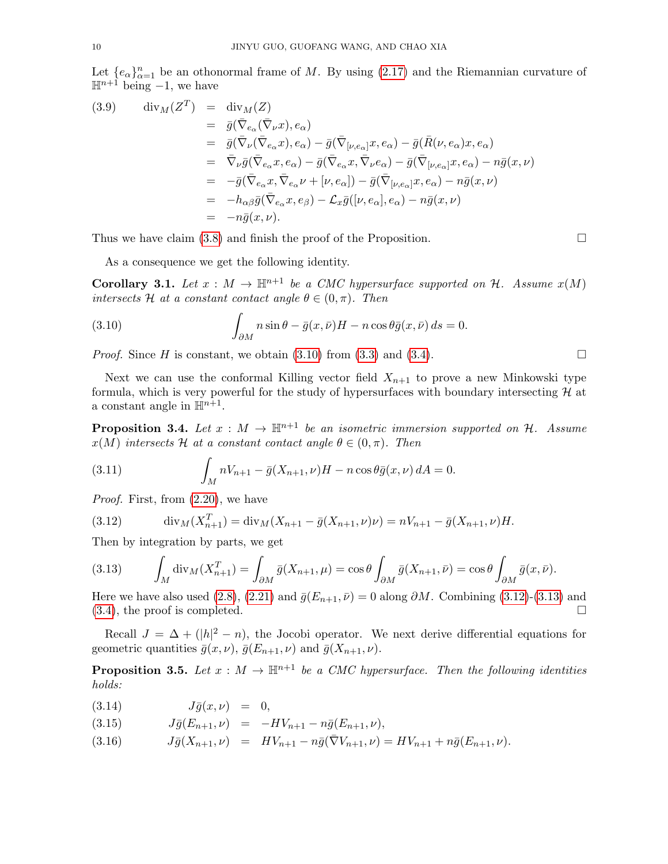Let  $\{e_{\alpha}\}_{\alpha=1}^{n}$  be an othonormal frame of M. By using [\(2.17\)](#page-6-2) and the Riemannian curvature of  $\mathbb{H}^{n+1}$  being -1, we have

<span id="page-9-5"></span>(3.9) 
$$
\begin{array}{rcl}\n\operatorname{div}_{M}(Z^{T}) & = & \operatorname{div}_{M}(Z) \\
& = & \bar{g}(\bar{\nabla}_{e_{\alpha}}(\bar{\nabla}_{\nu}x), e_{\alpha}) \\
& = & \bar{g}(\bar{\nabla}_{\nu}(\bar{\nabla}_{e_{\alpha}}x), e_{\alpha}) - \bar{g}(\bar{\nabla}_{[\nu, e_{\alpha}]}x, e_{\alpha}) - \bar{g}(\bar{R}(\nu, e_{\alpha})x, e_{\alpha}) \\
& = & \bar{\nabla}_{\nu}\bar{g}(\bar{\nabla}_{e_{\alpha}}x, e_{\alpha}) - \bar{g}(\bar{\nabla}_{e_{\alpha}}x, \bar{\nabla}_{\nu}e_{\alpha}) - \bar{g}(\bar{\nabla}_{[\nu, e_{\alpha}]}x, e_{\alpha}) - n\bar{g}(x, \nu) \\
& = & -\bar{g}(\bar{\nabla}_{e_{\alpha}}x, \bar{\nabla}_{e_{\alpha}}\nu + [\nu, e_{\alpha}]) - \bar{g}(\bar{\nabla}_{[\nu, e_{\alpha}]}x, e_{\alpha}) - n\bar{g}(x, \nu) \\
& = & -h_{\alpha\beta}\bar{g}(\bar{\nabla}_{e_{\alpha}}x, e_{\beta}) - \mathcal{L}_x\bar{g}([\nu, e_{\alpha}], e_{\alpha}) - n\bar{g}(x, \nu) \\
& = & -n\bar{g}(x, \nu).\n\end{array}
$$

Thus we have claim [\(3.8\)](#page-8-3) and finish the proof of the Proposition.

As a consequence we get the following identity.

**Corollary 3.1.** Let  $x : M \to \mathbb{H}^{n+1}$  be a CMC hypersurface supported on H. Assume  $x(M)$ intersects H at a constant contact angle  $\theta \in (0, \pi)$ . Then

<span id="page-9-1"></span>(3.10) 
$$
\int_{\partial M} n \sin \theta - \bar{g}(x, \bar{\nu}) H - n \cos \theta \bar{g}(x, \bar{\nu}) ds = 0.
$$

*Proof.* Since H is constant, we obtain [\(3.10\)](#page-9-1) from [\(3.3\)](#page-8-0) and [\(3.4\)](#page-8-1).

Next we can use the conformal Killing vector field  $X_{n+1}$  to prove a new Minkowski type formula, which is very powerful for the study of hypersurfaces with boundary intersecting  $H$  at a constant angle in  $\mathbb{H}^{n+1}$ .

**Proposition 3.4.** Let  $x : M \to \mathbb{H}^{n+1}$  be an isometric immersion supported on H. Assume  $x(M)$  intersects H at a constant contact angle  $\theta \in (0, \pi)$ . Then

<span id="page-9-0"></span>(3.11) 
$$
\int_M nV_{n+1} - \bar{g}(X_{n+1}, \nu)H - n\cos\theta\bar{g}(x, \nu) dA = 0.
$$

Proof. First, from [\(2.20\)](#page-7-1), we have

<span id="page-9-2"></span>(3.12) 
$$
\operatorname{div}_M(X_{n+1}^T) = \operatorname{div}_M(X_{n+1} - \bar{g}(X_{n+1}, \nu)\nu) = nV_{n+1} - \bar{g}(X_{n+1}, \nu)H.
$$

Then by integration by parts, we get

<span id="page-9-3"></span>(3.13) 
$$
\int_M \operatorname{div}_M(X_{n+1}^T) = \int_{\partial M} \bar{g}(X_{n+1}, \mu) = \cos \theta \int_{\partial M} \bar{g}(X_{n+1}, \bar{\nu}) = \cos \theta \int_{\partial M} \bar{g}(x, \bar{\nu}).
$$

Here we have also used [\(2.8\)](#page-5-3), [\(2.21\)](#page-7-2) and  $\bar{g}(E_{n+1}, \bar{\nu}) = 0$  along  $\partial M$ . Combining [\(3.12\)](#page-9-2)-[\(3.13\)](#page-9-3) and  $(3.4)$ , the proof is completed.

Recall  $J = \Delta + (|\hbar|^2 - n)$ , the Jocobi operator. We next derive differential equations for geometric quantities  $\bar{g}(x, \nu)$ ,  $\bar{g}(E_{n+1}, \nu)$  and  $\bar{g}(X_{n+1}, \nu)$ .

<span id="page-9-6"></span>**Proposition 3.5.** Let  $x : M \to \mathbb{H}^{n+1}$  be a CMC hypersurface. Then the following identities holds:

<span id="page-9-4"></span>
$$
(3.14) \t\t J\bar{g}(x,\nu) = 0,
$$

- (3.15)  $J\bar{g}(E_{n+1}, \nu) = -HV_{n+1} n\bar{g}(E_{n+1}, \nu),$
- (3.16)  $J\bar{g}(X_{n+1}, \nu) = HV_{n+1} n\bar{g}(\bar{\nabla}V_{n+1}, \nu) = HV_{n+1} + n\bar{g}(E_{n+1}, \nu).$

$$
\sqcup
$$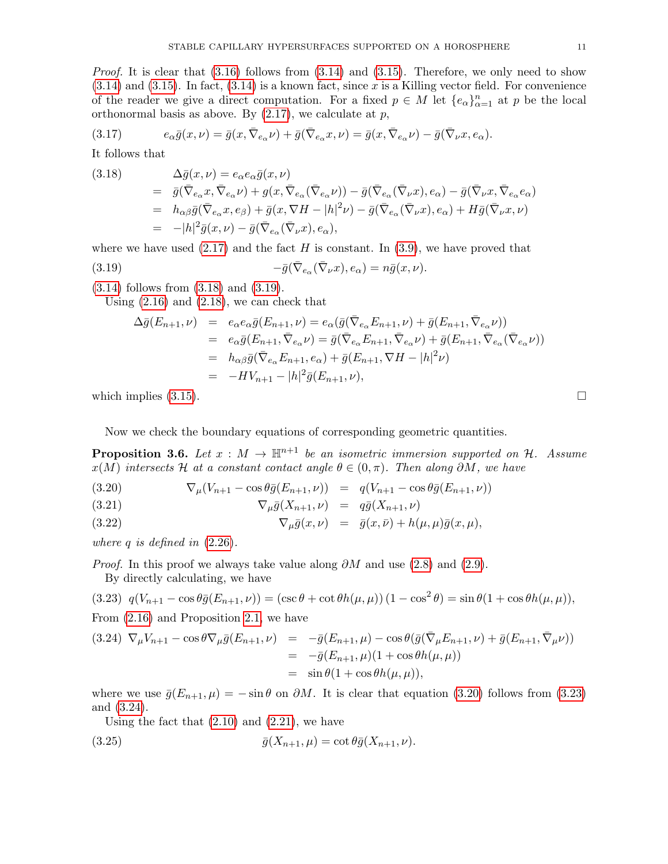*Proof.* It is clear that  $(3.16)$  follows from  $(3.14)$  and  $(3.15)$ . Therefore, we only need to show  $(3.14)$  and  $(3.15)$ . In fact,  $(3.14)$  is a known fact, since x is a Killing vector field. For convenience of the reader we give a direct computation. For a fixed  $p \in M$  let  $\{e_{\alpha}\}_{\alpha=1}^{n}$  at p be the local orthonormal basis as above. By  $(2.17)$ , we calculate at p,

(3.17) 
$$
e_{\alpha}\bar{g}(x,\nu) = \bar{g}(x,\bar{\nabla}_{e_{\alpha}}\nu) + \bar{g}(\bar{\nabla}_{e_{\alpha}}x,\nu) = \bar{g}(x,\bar{\nabla}_{e_{\alpha}}\nu) - \bar{g}(\bar{\nabla}_{\nu}x,e_{\alpha}).
$$

It follows that

<span id="page-10-0"></span>(3.18)  
\n
$$
\Delta \bar{g}(x,\nu) = e_{\alpha}e_{\alpha}\bar{g}(x,\nu)
$$
\n
$$
= \bar{g}(\bar{\nabla}_{e_{\alpha}}x, \bar{\nabla}_{e_{\alpha}}\nu) + g(x, \bar{\nabla}_{e_{\alpha}}(\bar{\nabla}_{e_{\alpha}}\nu)) - \bar{g}(\bar{\nabla}_{e_{\alpha}}(\bar{\nabla}_{\nu}x), e_{\alpha}) - \bar{g}(\bar{\nabla}_{\nu}x, \bar{\nabla}_{e_{\alpha}}e_{\alpha})
$$
\n
$$
= h_{\alpha\beta}\bar{g}(\bar{\nabla}_{e_{\alpha}}x, e_{\beta}) + \bar{g}(x, \nabla H - |h|^2 \nu) - \bar{g}(\bar{\nabla}_{e_{\alpha}}(\bar{\nabla}_{\nu}x), e_{\alpha}) + H\bar{g}(\bar{\nabla}_{\nu}x, \nu)
$$
\n
$$
= -|h|^2 \bar{g}(x, \nu) - \bar{g}(\bar{\nabla}_{e_{\alpha}}(\bar{\nabla}_{\nu}x), e_{\alpha}),
$$

where we have used  $(2.17)$  and the fact H is constant. In  $(3.9)$ , we have proved that

(3.19) 
$$
-\bar{g}(\bar{\nabla}_{e_{\alpha}}(\bar{\nabla}_{\nu}x),e_{\alpha})=n\bar{g}(x,\nu).
$$

[\(3.14\)](#page-9-4) follows from [\(3.18\)](#page-10-0) and [\(3.19\)](#page-10-1).

Using [\(2.16\)](#page-6-0) and [\(2.18\)](#page-6-3), we can check that

<span id="page-10-2"></span><span id="page-10-1"></span>
$$
\Delta \bar{g}(E_{n+1}, \nu) = e_{\alpha} e_{\alpha} \bar{g}(E_{n+1}, \nu) = e_{\alpha} (\bar{g}(\bar{\nabla}_{e_{\alpha}} E_{n+1}, \nu) + \bar{g}(E_{n+1}, \bar{\nabla}_{e_{\alpha}} \nu))
$$
  
\n
$$
= e_{\alpha} \bar{g}(E_{n+1}, \bar{\nabla}_{e_{\alpha}} \nu) = \bar{g}(\bar{\nabla}_{e_{\alpha}} E_{n+1}, \bar{\nabla}_{e_{\alpha}} \nu) + \bar{g}(E_{n+1}, \bar{\nabla}_{e_{\alpha}} (\bar{\nabla}_{e_{\alpha}} \nu))
$$
  
\n
$$
= h_{\alpha\beta} \bar{g}(\bar{\nabla}_{e_{\alpha}} E_{n+1}, e_{\alpha}) + \bar{g}(E_{n+1}, \nabla H - |h|^2 \nu)
$$
  
\n
$$
= -HV_{n+1} - |h|^2 \bar{g}(E_{n+1}, \nu),
$$

which implies  $(3.15)$ .

Now we check the boundary equations of corresponding geometric quantities.

<span id="page-10-6"></span>**Proposition 3.6.** Let  $x : M \to \mathbb{H}^{n+1}$  be an isometric immersion supported on H. Assume  $x(M)$  intersects H at a constant contact angle  $\theta \in (0, \pi)$ . Then along  $\partial M$ , we have

(3.20) 
$$
\nabla_{\mu}(V_{n+1} - \cos \theta \bar{g}(E_{n+1}, \nu)) = q(V_{n+1} - \cos \theta \bar{g}(E_{n+1}, \nu))
$$

(3.21)  $\nabla_{\mu} \bar{g}(X_{n+1}, \nu) = q\bar{g}(X_{n+1}, \nu)$ 

(3.22)  $\nabla_{\mu}\bar{g}(x,\nu) = \bar{g}(x,\bar{\nu}) + h(\mu,\mu)\bar{g}(x,\mu),$ 

where q is defined in  $(2.26)$ .

*Proof.* In this proof we always take value along  $\partial M$  and use [\(2.8\)](#page-5-3) and [\(2.9\)](#page-5-3).

By directly calculating, we have

<span id="page-10-3"></span>
$$
(3.23) \ q(V_{n+1} - \cos\theta \bar{g}(E_{n+1}, \nu)) = (\csc\theta + \cot\theta h(\mu, \mu)) (1 - \cos^2\theta) = \sin\theta (1 + \cos\theta h(\mu, \mu)),
$$

From [\(2.16\)](#page-6-0) and Proposition [2.1,](#page-5-5) we have

<span id="page-10-4"></span>
$$
(3.24) \nabla_{\mu} V_{n+1} - \cos \theta \nabla_{\mu} \bar{g}(E_{n+1}, \nu) = -\bar{g}(E_{n+1}, \mu) - \cos \theta (\bar{g}(\bar{\nabla}_{\mu} E_{n+1}, \nu) + \bar{g}(E_{n+1}, \bar{\nabla}_{\mu} \nu))
$$
  
=  $-\bar{g}(E_{n+1}, \mu)(1 + \cos \theta h(\mu, \mu))$   
=  $\sin \theta (1 + \cos \theta h(\mu, \mu)),$ 

where we use  $\bar{g}(E_{n+1}, \mu) = -\sin \theta$  on  $\partial M$ . It is clear that equation [\(3.20\)](#page-10-2) follows from [\(3.23\)](#page-10-3) and [\(3.24\)](#page-10-4).

<span id="page-10-5"></span>Using the fact that  $(2.10)$  and  $(2.21)$ , we have

$$
\bar{g}(X_{n+1}, \mu) = \cot \theta \bar{g}(X_{n+1}, \nu).
$$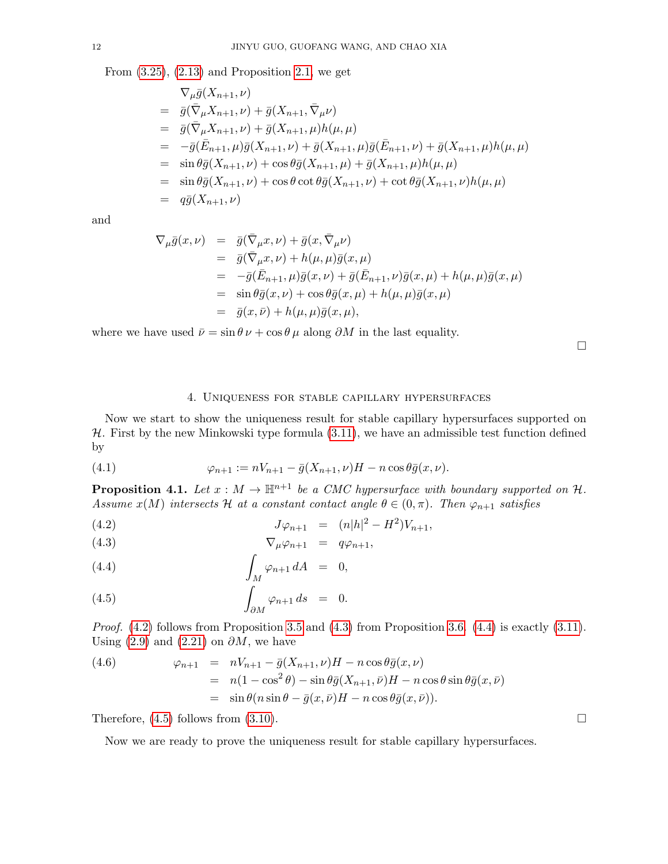From  $(3.25)$ ,  $(2.13)$  and Proposition [2.1,](#page-5-5) we get

$$
\nabla_{\mu}\bar{g}(X_{n+1},\nu) \n= \bar{g}(\bar{\nabla}_{\mu}X_{n+1},\nu) + \bar{g}(X_{n+1},\bar{\nabla}_{\mu}\nu) \n= \bar{g}(\bar{\nabla}_{\mu}X_{n+1},\nu) + \bar{g}(X_{n+1},\mu)h(\mu,\mu) \n= -\bar{g}(\bar{E}_{n+1},\mu)\bar{g}(X_{n+1},\nu) + \bar{g}(X_{n+1},\mu)\bar{g}(\bar{E}_{n+1},\nu) + \bar{g}(X_{n+1},\mu)h(\mu,\mu) \n= \sin \theta \bar{g}(X_{n+1},\nu) + \cos \theta \bar{g}(X_{n+1},\mu) + \bar{g}(X_{n+1},\mu)h(\mu,\mu) \n= \sin \theta \bar{g}(X_{n+1},\nu) + \cos \theta \cot \theta \bar{g}(X_{n+1},\nu) + \cot \theta \bar{g}(X_{n+1},\nu)h(\mu,\mu) \n= q\bar{g}(X_{n+1},\nu)
$$

and

$$
\nabla_{\mu}\bar{g}(x,\nu) = \bar{g}(\bar{\nabla}_{\mu}x,\nu) + \bar{g}(x,\bar{\nabla}_{\mu}\nu)
$$
  
\n
$$
= \bar{g}(\bar{\nabla}_{\mu}x,\nu) + h(\mu,\mu)\bar{g}(x,\mu)
$$
  
\n
$$
= -\bar{g}(\bar{E}_{n+1},\mu)\bar{g}(x,\nu) + \bar{g}(\bar{E}_{n+1},\nu)\bar{g}(x,\mu) + h(\mu,\mu)\bar{g}(x,\mu)
$$
  
\n
$$
= \sin \theta \bar{g}(x,\nu) + \cos \theta \bar{g}(x,\mu) + h(\mu,\mu)\bar{g}(x,\mu)
$$
  
\n
$$
= \bar{g}(x,\bar{\nu}) + h(\mu,\mu)\bar{g}(x,\mu),
$$

where we have used  $\bar{\nu} = \sin \theta \nu + \cos \theta \mu$  along  $\partial M$  in the last equality.

 $\Box$ 

# <span id="page-11-2"></span><span id="page-11-1"></span>4. Uniqueness for stable capillary hypersurfaces

<span id="page-11-0"></span>Now we start to show the uniqueness result for stable capillary hypersurfaces supported on  $H$ . First by the new Minkowski type formula  $(3.11)$ , we have an admissible test function defined by

(4.1) 
$$
\varphi_{n+1} := nV_{n+1} - \bar{g}(X_{n+1}, \nu)H - n\cos\theta\bar{g}(x, \nu).
$$

**Proposition 4.1.** Let  $x : M \to \mathbb{H}^{n+1}$  be a CMC hypersurface with boundary supported on  $\mathcal{H}$ . Assume  $x(M)$  intersects H at a constant contact angle  $\theta \in (0, \pi)$ . Then  $\varphi_{n+1}$  satisfies

(4.2) 
$$
J\varphi_{n+1} = (n|h|^2 - H^2)V_{n+1},
$$

$$
\nabla_{\mu}\varphi_{n+1} = q\varphi_{n+1},
$$

$$
\int_M \varphi_{n+1} dA = 0,
$$

(4.5) 
$$
\int_{\partial M} \varphi_{n+1} ds = 0.
$$

*Proof.*  $(4.2)$  follows from Proposition [3.5](#page-9-6) and  $(4.3)$  from Proposition [3.6.](#page-10-6)  $(4.4)$  is exactly  $(3.11)$ . Using [\(2.9\)](#page-5-3) and [\(2.21\)](#page-7-2) on  $\partial M$ , we have

<span id="page-11-3"></span>(4.6) 
$$
\varphi_{n+1} = nV_{n+1} - \bar{g}(X_{n+1}, \nu)H - n\cos\theta\bar{g}(x, \nu)
$$

$$
= n(1 - \cos^2\theta) - \sin\theta\bar{g}(X_{n+1}, \bar{\nu})H - n\cos\theta\sin\theta\bar{g}(x, \bar{\nu})
$$

$$
= \sin\theta(n\sin\theta - \bar{g}(x, \bar{\nu})H - n\cos\theta\bar{g}(x, \bar{\nu})).
$$

Therefore,  $(4.5)$  follows from  $(3.10)$ .

Now we are ready to prove the uniqueness result for stable capillary hypersurfaces.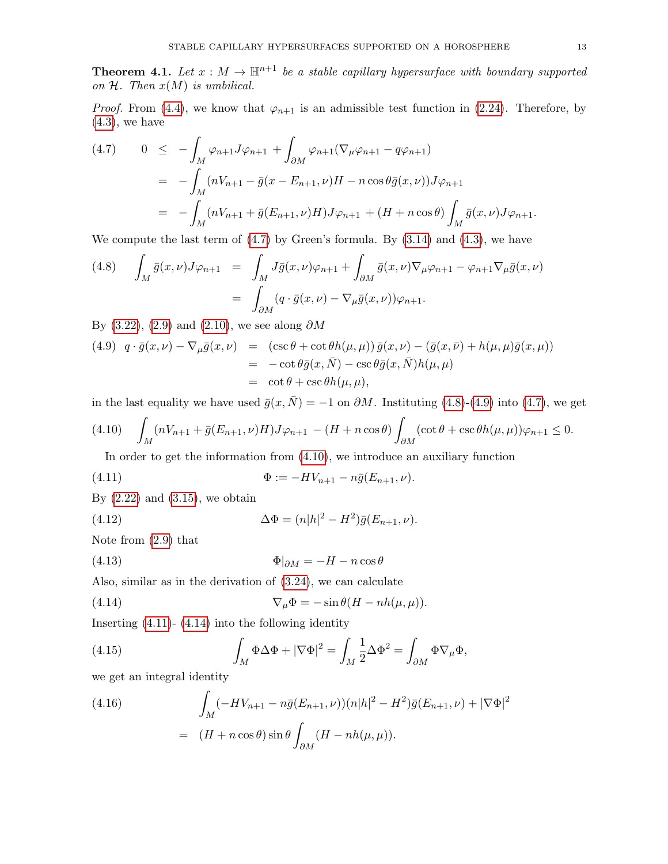<span id="page-12-8"></span>**Theorem 4.1.** Let  $x : M \to \mathbb{H}^{n+1}$  be a stable capillary hypersurface with boundary supported on  $H$ . Then  $x(M)$  is umbilical.

*Proof.* From [\(4.4\)](#page-11-2), we know that  $\varphi_{n+1}$  is an admissible test function in [\(2.24\)](#page-7-4). Therefore, by  $(4.3)$ , we have

<span id="page-12-1"></span>
$$
(4.7) \quad 0 \leq -\int_M \varphi_{n+1} J \varphi_{n+1} + \int_{\partial M} \varphi_{n+1} (\nabla_\mu \varphi_{n+1} - q \varphi_{n+1})
$$
  

$$
= -\int_M (nV_{n+1} - \bar{g}(x - E_{n+1}, \nu)H - n \cos \theta \bar{g}(x, \nu)) J \varphi_{n+1}
$$
  

$$
= -\int_M (nV_{n+1} + \bar{g}(E_{n+1}, \nu)H) J \varphi_{n+1} + (H + n \cos \theta) \int_M \bar{g}(x, \nu) J \varphi_{n+1}.
$$

We compute the last term of  $(4.7)$  by Green's formula. By  $(3.14)$  and  $(4.3)$ , we have

<span id="page-12-2"></span>(4.8) 
$$
\int_M \bar{g}(x,\nu) J \varphi_{n+1} = \int_M J \bar{g}(x,\nu) \varphi_{n+1} + \int_{\partial M} \bar{g}(x,\nu) \nabla_\mu \varphi_{n+1} - \varphi_{n+1} \nabla_\mu \bar{g}(x,\nu)
$$

$$
= \int_{\partial M} (q \cdot \bar{g}(x,\nu) - \nabla_\mu \bar{g}(x,\nu)) \varphi_{n+1}.
$$

By [\(3.22\)](#page-10-2), [\(2.9\)](#page-5-3) and [\(2.10\)](#page-5-4), we see along  $\partial M$ 

<span id="page-12-3"></span>(4.9) 
$$
q \cdot \bar{g}(x,\nu) - \nabla_{\mu}\bar{g}(x,\nu) = (\csc \theta + \cot \theta h(\mu, \mu))\bar{g}(x,\nu) - (\bar{g}(x,\bar{\nu}) + h(\mu, \mu)\bar{g}(x,\mu))
$$
  
= 
$$
-\cot \theta \bar{g}(x,\bar{N}) - \csc \theta \bar{g}(x,\bar{N})h(\mu, \mu)
$$
  
= 
$$
\cot \theta + \csc \theta h(\mu, \mu),
$$

in the last equality we have used  $\bar{g}(x, \bar{N}) = -1$  on  $\partial M$ . Instituting [\(4.8\)](#page-12-2)-[\(4.9\)](#page-12-3) into [\(4.7\)](#page-12-1), we get

<span id="page-12-4"></span>
$$
(4.10)\quad \int_M (nV_{n+1} + \bar{g}(E_{n+1}, \nu)H)J\varphi_{n+1} - (H + n\cos\theta)\int_{\partial M} (\cot\theta + \csc\theta h(\mu, \mu))\varphi_{n+1} \le 0.
$$

<span id="page-12-7"></span><span id="page-12-0"></span>In order to get the information from [\(4.10\)](#page-12-4), we introduce an auxiliary function

(4.11) 
$$
\Phi := -HV_{n+1} - n\bar{g}(E_{n+1},\nu).
$$

By  $(2.22)$  and  $(3.15)$ , we obtain

(4.12) 
$$
\Delta \Phi = (n|h|^2 - H^2)\bar{g}(E_{n+1}, \nu).
$$

Note from [\(2.9\)](#page-5-3) that

$$
\Phi|_{\partial M} = -H - n\cos\theta
$$

Also, similar as in the derivation of [\(3.24\)](#page-10-4), we can calculate

<span id="page-12-5"></span>(4.14) 
$$
\nabla_{\mu} \Phi = -\sin \theta (H - nh(\mu, \mu)).
$$

Inserting  $(4.11)$ -  $(4.14)$  into the following identity

(4.15) 
$$
\int_M \Phi \Delta \Phi + |\nabla \Phi|^2 = \int_M \frac{1}{2} \Delta \Phi^2 = \int_{\partial M} \Phi \nabla_\mu \Phi,
$$

we get an integral identity

<span id="page-12-6"></span>(4.16) 
$$
\int_{M} (-HV_{n+1} - n\bar{g}(E_{n+1}, \nu))(n|h|^{2} - H^{2})\bar{g}(E_{n+1}, \nu) + |\nabla\Phi|^{2}
$$

$$
= (H + n\cos\theta)\sin\theta \int_{\partial M} (H - nh(\mu, \mu)).
$$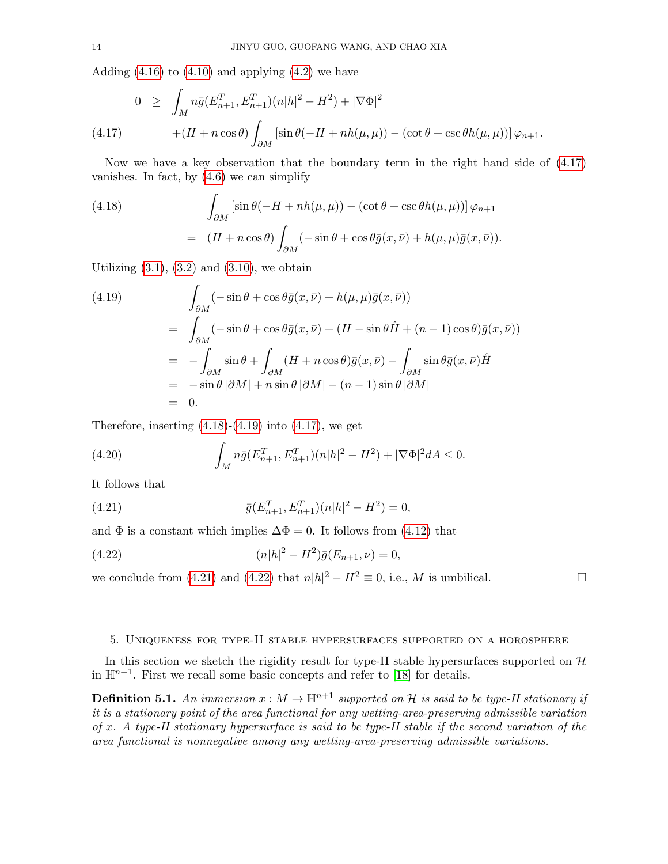Adding  $(4.16)$  to  $(4.10)$  and applying  $(4.2)$  we have

<span id="page-13-1"></span>
$$
0 \geq \int_M n\bar{g}(E_{n+1}^T, E_{n+1}^T)(n|h|^2 - H^2) + |\nabla\Phi|^2
$$
  
(4.17) 
$$
+ (H + n\cos\theta) \int_{\partial M} \left[ \sin\theta(-H + nh(\mu, \mu)) - (\cot\theta + \csc\theta h(\mu, \mu)) \right] \varphi_{n+1}.
$$

Now we have a key observation that the boundary term in the right hand side of [\(4.17\)](#page-13-1) vanishes. In fact, by  $(4.6)$  we can simplify

<span id="page-13-2"></span>(4.18) 
$$
\int_{\partial M} \left[ \sin \theta (-H + nh(\mu, \mu)) - (\cot \theta + \csc \theta h(\mu, \mu)) \right] \varphi_{n+1}
$$

$$
= (H + n \cos \theta) \int_{\partial M} (-\sin \theta + \cos \theta \bar{g}(x, \bar{\nu}) + h(\mu, \mu) \bar{g}(x, \bar{\nu})).
$$

Utilizing  $(3.1)$ ,  $(3.2)$  and  $(3.10)$ , we obtain

<span id="page-13-3"></span>(4.19)  
\n
$$
\int_{\partial M} (-\sin \theta + \cos \theta \bar{g}(x, \bar{\nu}) + h(\mu, \mu) \bar{g}(x, \bar{\nu}))
$$
\n
$$
= \int_{\partial M} (-\sin \theta + \cos \theta \bar{g}(x, \bar{\nu}) + (H - \sin \theta \hat{H} + (n - 1) \cos \theta) \bar{g}(x, \bar{\nu}))
$$
\n
$$
= - \int_{\partial M} \sin \theta + \int_{\partial M} (H + n \cos \theta) \bar{g}(x, \bar{\nu}) - \int_{\partial M} \sin \theta \bar{g}(x, \bar{\nu}) \hat{H}
$$
\n
$$
= -\sin \theta |\partial M| + n \sin \theta |\partial M| - (n - 1) \sin \theta |\partial M|
$$
\n
$$
= 0.
$$

Therefore, inserting  $(4.18)-(4.19)$  $(4.18)-(4.19)$  $(4.18)-(4.19)$  into  $(4.17)$ , we get

(4.20) 
$$
\int_M n\bar{g}(E_{n+1}^T, E_{n+1}^T)(n|h|^2 - H^2) + |\nabla\Phi|^2 dA \leq 0.
$$

It follows that

<span id="page-13-4"></span>(4.21) 
$$
\bar{g}(E_{n+1}^T, E_{n+1}^T)(n|h|^2 - H^2) = 0,
$$

and  $\Phi$  is a constant which implies  $\Delta \Phi = 0$ . It follows from [\(4.12\)](#page-12-7) that

<span id="page-13-5"></span>(4.22) 
$$
(n|h|^2 - H^2)\bar{g}(E_{n+1}, \nu) = 0,
$$

we conclude from [\(4.21\)](#page-13-4) and [\(4.22\)](#page-13-5) that  $n|h|^2 - H^2 \equiv 0$ , i.e., M is umbilical.

## <span id="page-13-0"></span>5. Uniqueness for type-II stable hypersurfaces supported on a horosphere

In this section we sketch the rigidity result for type-II stable hypersurfaces supported on  $\mathcal H$ in  $\mathbb{H}^{n+1}$ . First we recall some basic concepts and refer to [\[18\]](#page-15-12) for details.

**Definition 5.1.** An immersion  $x : M \to \mathbb{H}^{n+1}$  supported on H is said to be type-II stationary if it is a stationary point of the area functional for any wetting-area-preserving admissible variation of x. A type-II stationary hypersurface is said to be type-II stable if the second variation of the area functional is nonnegative among any wetting-area-preserving admissible variations.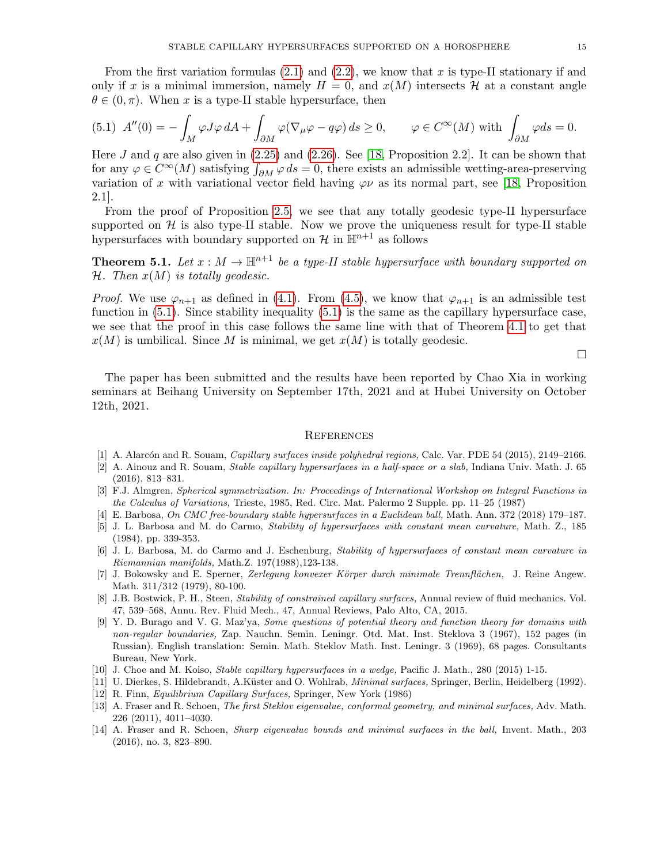From the first variation formulas  $(2.1)$  and  $(2.2)$ , we know that x is type-II stationary if and only if x is a minimal immersion, namely  $H = 0$ , and  $x(M)$  intersects H at a constant angle  $\theta \in (0, \pi)$ . When x is a type-II stable hypersurface, then

<span id="page-14-14"></span>(5.1) 
$$
A''(0) = -\int_M \varphi J \varphi dA + \int_{\partial M} \varphi (\nabla_\mu \varphi - q \varphi) ds \ge 0
$$
,  $\varphi \in C^\infty(M)$  with  $\int_{\partial M} \varphi ds = 0$ .

Here  $J$  and  $q$  are also given in  $(2.25)$  and  $(2.26)$ . See [\[18,](#page-15-12) Proposition 2.2]. It can be shown that for any  $\varphi \in C^{\infty}(M)$  satisfying  $\int_{\partial M} \varphi ds = 0$ , there exists an admissible wetting-area-preserving variation of x with variational vector field having  $\varphi \nu$  as its normal part, see [\[18,](#page-15-12) Proposition 2.1].

From the proof of Proposition [2.5,](#page-7-8) we see that any totally geodesic type-II hypersurface supported on  $H$  is also type-II stable. Now we prove the uniqueness result for type-II stable hypersurfaces with boundary supported on  $\mathcal{H}$  in  $\mathbb{H}^{n+1}$  as follows

**Theorem 5.1.** Let  $x : M \to \mathbb{H}^{n+1}$  be a type-II stable hypersurface with boundary supported on  $H.$  Then  $x(M)$  is totally geodesic.

*Proof.* We use  $\varphi_{n+1}$  as defined in [\(4.1\)](#page-11-1). From [\(4.5\)](#page-11-2), we know that  $\varphi_{n+1}$  is an admissible test function in  $(5.1)$ . Since stability inequality  $(5.1)$  is the same as the capillary hypersurface case, we see that the proof in this case follows the same line with that of Theorem [4.1](#page-12-8) to get that  $x(M)$  is umbilical. Since M is minimal, we get  $x(M)$  is totally geodesic.

 $\Box$ 

The paper has been submitted and the results have been reported by Chao Xia in working seminars at Beihang University on September 17th, 2021 and at Hubei University on October 12th, 2021.

### **REFERENCES**

- <span id="page-14-13"></span>[1] A. Alarcón and R. Souam, *Capillary surfaces inside polyhedral regions*, Calc. Var. PDE 54 (2015), 2149–2166.
- <span id="page-14-9"></span>[2] A. Ainouz and R. Souam, Stable capillary hypersurfaces in a half-space or a slab, Indiana Univ. Math. J. 65 (2016), 813–831.
- <span id="page-14-7"></span>[3] F.J. Almgren, Spherical symmetrization. In: Proceedings of International Workshop on Integral Functions in the Calculus of Variations, Trieste, 1985, Red. Circ. Mat. Palermo 2 Supple. pp. 11–25 (1987)
- <span id="page-14-8"></span>[4] E. Barbosa, On CMC free-boundary stable hypersurfaces in a Euclidean ball, Math. Ann. 372 (2018) 179–187.
- <span id="page-14-0"></span>[5] J. L. Barbosa and M. do Carmo, Stability of hypersurfaces with constant mean curvature, Math. Z., 185 (1984), pp. 339-353.
- <span id="page-14-1"></span>[6] J. L. Barbosa, M. do Carmo and J. Eschenburg, Stability of hypersurfaces of constant mean curvature in Riemannian manifolds, Math.Z. 197(1988),123-138.
- <span id="page-14-6"></span>[7] J. Bokowsky and E. Sperner, Zerlegung konvexer Körper durch minimale Trennflächen, J. Reine Angew. Math. 311/312 (1979), 80-100.
- <span id="page-14-11"></span>[8] J.B. Bostwick, P. H., Steen, Stability of constrained capillary surfaces, Annual review of fluid mechanics. Vol. 47, 539–568, Annu. Rev. Fluid Mech., 47, Annual Reviews, Palo Alto, CA, 2015.
- <span id="page-14-5"></span>[9] Y. D. Burago and V. G. Maz'ya, Some questions of potential theory and function theory for domains with non-regular boundaries, Zap. Nauchn. Semin. Leningr. Otd. Mat. Inst. Steklova 3 (1967), 152 pages (in Russian). English translation: Semin. Math. Steklov Math. Inst. Leningr. 3 (1969), 68 pages. Consultants Bureau, New York.
- <span id="page-14-10"></span>[10] J. Choe and M. Koiso, Stable capillary hypersurfaces in a wedge, Pacific J. Math., 280 (2015) 1-15.
- <span id="page-14-4"></span>[11] U. Dierkes, S. Hildebrandt, A.Küster and O. Wohlrab, Minimal surfaces, Springer, Berlin, Heidelberg (1992).
- <span id="page-14-12"></span>[12] R. Finn, Equilibrium Capillary Surfaces, Springer, New York (1986)
- <span id="page-14-2"></span>[13] A. Fraser and R. Schoen, The first Steklov eigenvalue, conformal geometry, and minimal surfaces, Adv. Math. 226 (2011), 4011–4030.
- <span id="page-14-3"></span>[14] A. Fraser and R. Schoen, Sharp eigenvalue bounds and minimal surfaces in the ball, Invent. Math., 203 (2016), no. 3, 823–890.